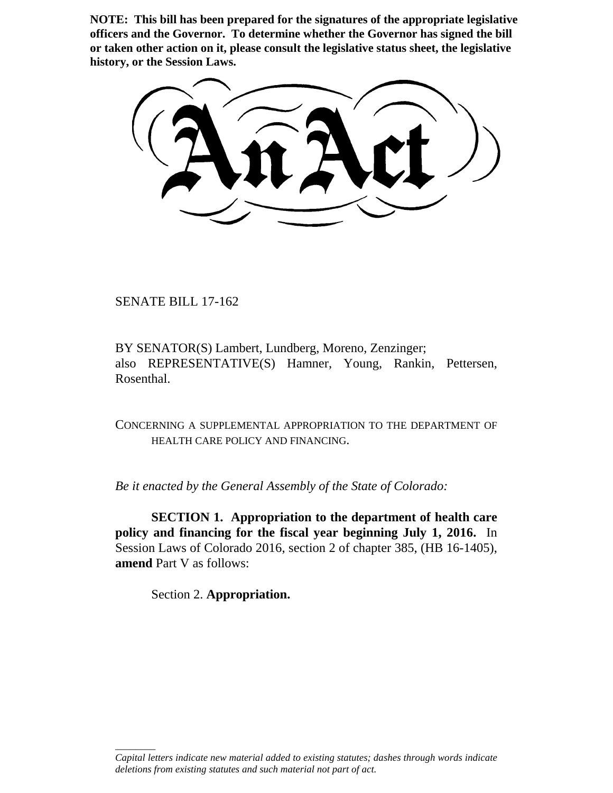**NOTE: This bill has been prepared for the signatures of the appropriate legislative officers and the Governor. To determine whether the Governor has signed the bill or taken other action on it, please consult the legislative status sheet, the legislative history, or the Session Laws.**

SENATE BILL 17-162

BY SENATOR(S) Lambert, Lundberg, Moreno, Zenzinger; also REPRESENTATIVE(S) Hamner, Young, Rankin, Pettersen, Rosenthal.

CONCERNING A SUPPLEMENTAL APPROPRIATION TO THE DEPARTMENT OF HEALTH CARE POLICY AND FINANCING.

*Be it enacted by the General Assembly of the State of Colorado:*

**SECTION 1. Appropriation to the department of health care policy and financing for the fiscal year beginning July 1, 2016.** In Session Laws of Colorado 2016, section 2 of chapter 385, (HB 16-1405), **amend** Part V as follows:

Section 2. **Appropriation.**

\_\_\_\_\_\_\_\_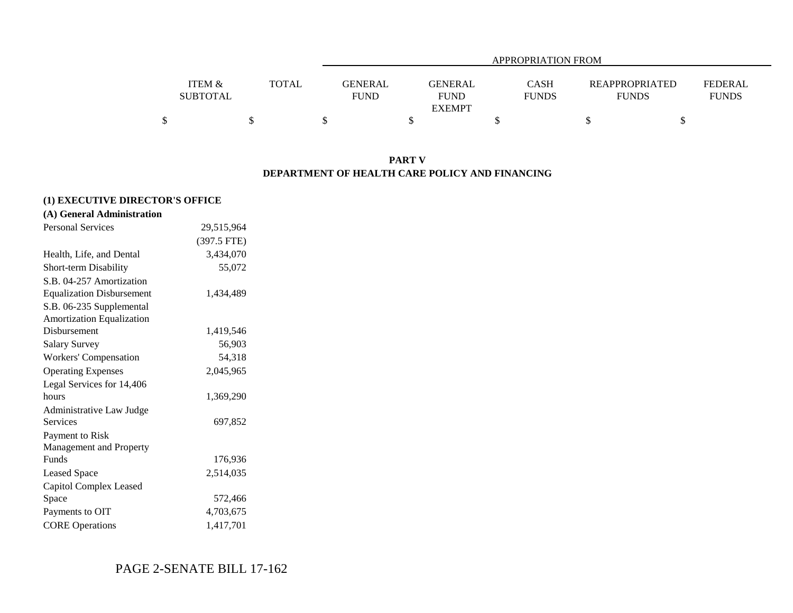|                   |              |                | APPROPRIATION FROM |              |                       |                |  |  |  |  |  |  |
|-------------------|--------------|----------------|--------------------|--------------|-----------------------|----------------|--|--|--|--|--|--|
|                   |              |                |                    |              |                       |                |  |  |  |  |  |  |
| <b>ITEM &amp;</b> | <b>TOTAL</b> | <b>GENERAL</b> | <b>GENERAL</b>     | <b>CASH</b>  | <b>REAPPROPRIATED</b> | <b>FEDERAL</b> |  |  |  |  |  |  |
| <b>SUBTOTAL</b>   |              | <b>FUND</b>    | <b>FUND</b>        | <b>FUNDS</b> | <b>FUNDS</b>          | <b>FUNDS</b>   |  |  |  |  |  |  |
|                   |              |                | <b>EXEMPT</b>      |              |                       |                |  |  |  |  |  |  |
|                   |              |                |                    |              |                       |                |  |  |  |  |  |  |

### **PART V DEPARTMENT OF HEALTH CARE POLICY AND FINANCING**

### **(1) EXECUTIVE DIRECTOR'S OFFICE**

|  | (A) General Administration |
|--|----------------------------|
|  |                            |

| <b>Personal Services</b>         | 29,515,964  |
|----------------------------------|-------------|
|                                  | (397.5 FTE) |
| Health, Life, and Dental         | 3,434,070   |
| Short-term Disability            | 55,072      |
| S.B. 04-257 Amortization         |             |
| <b>Equalization Disbursement</b> | 1,434,489   |
| S.B. 06-235 Supplemental         |             |
| <b>Amortization Equalization</b> |             |
| Disbursement                     | 1,419,546   |
| <b>Salary Survey</b>             | 56,903      |
| Workers' Compensation            | 54,318      |
| <b>Operating Expenses</b>        | 2,045,965   |
| Legal Services for 14,406        |             |
| hours                            | 1,369,290   |
| Administrative Law Judge         |             |
| Services                         | 697,852     |
| Payment to Risk                  |             |
| Management and Property          |             |
| Funds                            | 176,936     |
| <b>Leased Space</b>              | 2,514,035   |
| Capitol Complex Leased           |             |
| Space                            | 572,466     |
| Payments to OIT                  | 4,703,675   |
| <b>CORE</b> Operations           | 1,417,701   |

# PAGE 2-SENATE BILL 17-162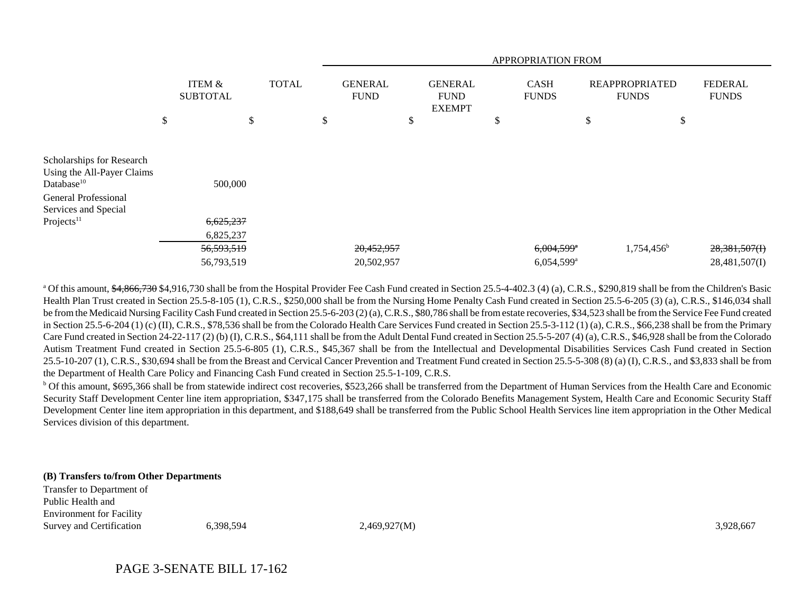|                                                                                                                                                             |                                      |              |                               |                                                | APPROPRIATION FROM                                   |                                       |                                   |
|-------------------------------------------------------------------------------------------------------------------------------------------------------------|--------------------------------------|--------------|-------------------------------|------------------------------------------------|------------------------------------------------------|---------------------------------------|-----------------------------------|
|                                                                                                                                                             | <b>ITEM &amp;</b><br><b>SUBTOTAL</b> | <b>TOTAL</b> | <b>GENERAL</b><br><b>FUND</b> | <b>GENERAL</b><br><b>FUND</b><br><b>EXEMPT</b> | <b>CASH</b><br><b>FUNDS</b>                          | <b>REAPPROPRIATED</b><br><b>FUNDS</b> | <b>FEDERAL</b><br><b>FUNDS</b>    |
|                                                                                                                                                             | \$                                   | \$           | \$                            | \$                                             | \$                                                   | \$<br>\$                              |                                   |
| Scholarships for Research<br>Using the All-Payer Claims<br>Database <sup>10</sup><br>General Professional<br>Services and Special<br>Projects <sup>11</sup> | 500,000<br>6,625,237                 |              |                               |                                                |                                                      |                                       |                                   |
|                                                                                                                                                             | 6,825,237                            |              |                               |                                                |                                                      |                                       |                                   |
|                                                                                                                                                             | 56,593,519<br>56,793,519             |              | 20,452,957<br>20,502,957      |                                                | $6,004,599$ <sup>*</sup><br>$6,054,599$ <sup>a</sup> | 1,754,456 <sup>b</sup>                | $28,381,507$ (I)<br>28,481,507(I) |

<sup>a</sup> Of this amount,  $\frac{64,866,730}{4}$ ,  $\frac{84,916,730}{4}$  shall be from the Hospital Provider Fee Cash Fund created in Section 25.5-4-402.3 (4) (a), C.R.S., \$290,819 shall be from the Children's Basic Health Plan Trust created in Section 25.5-8-105 (1), C.R.S., \$250,000 shall be from the Nursing Home Penalty Cash Fund created in Section 25.5-6-205 (3) (a), C.R.S., \$146,034 shall be from the Medicaid Nursing Facility Cash Fund created in Section 25.5-6-203 (2) (a), C.R.S., \$80,786 shall be from estate recoveries, \$34,523 shall be from the Service Fee Fund created in Section 25.5-6-204 (1) (c) (II), C.R.S., \$78,536 shall be from the Colorado Health Care Services Fund created in Section 25.5-3-112 (1) (a), C.R.S., \$66,238 shall be from the Primary Care Fund created in Section 24-22-117 (2) (b) (I), C.R.S., \$64,111 shall be from the Adult Dental Fund created in Section 25.5-5-207 (4) (a), C.R.S., \$46,928 shall be from the Colorado Autism Treatment Fund created in Section 25.5-6-805 (1), C.R.S., \$45,367 shall be from the Intellectual and Developmental Disabilities Services Cash Fund created in Section 25.5-10-207 (1), C.R.S., \$30,694 shall be from the Breast and Cervical Cancer Prevention and Treatment Fund created in Section 25.5-5-308 (8) (a) (I), C.R.S., and \$3,833 shall be from the Department of Health Care Policy and Financing Cash Fund created in Section 25.5-1-109, C.R.S.

<sup>b</sup> Of this amount, \$695,366 shall be from statewide indirect cost recoveries, \$523,266 shall be transferred from the Department of Human Services from the Health Care and Economic Security Staff Development Center line item appropriation, \$347,175 shall be transferred from the Colorado Benefits Management System, Health Care and Economic Security Staff Development Center line item appropriation in this department, and \$188,649 shall be transferred from the Public School Health Services line item appropriation in the Other Medical Services division of this department.

#### **(B) Transfers to/from Other Departments**

Transfer to Department of Public Health andEnvironment for Facility Survey and Certification 6,398,594 6.398,594 2,469,927(M) 3,928,667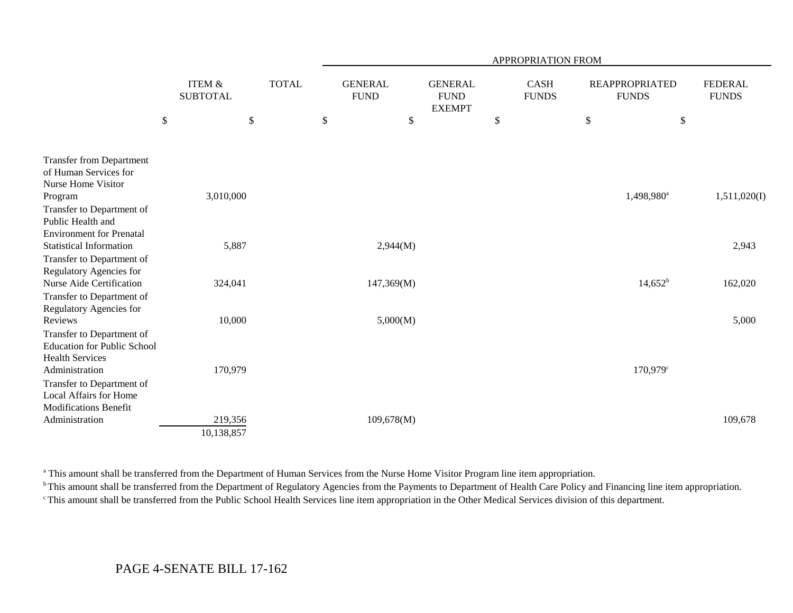|                                                              |      |                                      |              |                               |                                                | APPROPRIATION FROM          |      |                                       |                                |
|--------------------------------------------------------------|------|--------------------------------------|--------------|-------------------------------|------------------------------------------------|-----------------------------|------|---------------------------------------|--------------------------------|
|                                                              |      | <b>ITEM &amp;</b><br><b>SUBTOTAL</b> | <b>TOTAL</b> | <b>GENERAL</b><br><b>FUND</b> | <b>GENERAL</b><br><b>FUND</b><br><b>EXEMPT</b> | <b>CASH</b><br><b>FUNDS</b> |      | <b>REAPPROPRIATED</b><br><b>FUNDS</b> | <b>FEDERAL</b><br><b>FUNDS</b> |
|                                                              | $\$$ | \$                                   |              | \$<br>\$                      |                                                | \$                          | $\$$ | $\$$                                  |                                |
| <b>Transfer from Department</b><br>of Human Services for     |      |                                      |              |                               |                                                |                             |      |                                       |                                |
| Nurse Home Visitor                                           |      |                                      |              |                               |                                                |                             |      |                                       |                                |
| Program                                                      |      | 3,010,000                            |              |                               |                                                |                             |      | 1,498,980 <sup>a</sup>                | 1,511,020(I)                   |
| Transfer to Department of<br>Public Health and               |      |                                      |              |                               |                                                |                             |      |                                       |                                |
| <b>Environment for Prenatal</b>                              |      |                                      |              |                               |                                                |                             |      |                                       |                                |
| <b>Statistical Information</b>                               |      | 5,887                                |              | 2,944(M)                      |                                                |                             |      |                                       | 2,943                          |
| Transfer to Department of                                    |      |                                      |              |                               |                                                |                             |      |                                       |                                |
| Regulatory Agencies for<br>Nurse Aide Certification          |      | 324,041                              |              | 147,369(M)                    |                                                |                             |      | $14,652^b$                            | 162,020                        |
| Transfer to Department of                                    |      |                                      |              |                               |                                                |                             |      |                                       |                                |
| Regulatory Agencies for                                      |      |                                      |              |                               |                                                |                             |      |                                       |                                |
| Reviews                                                      |      | 10,000                               |              | 5,000(M)                      |                                                |                             |      |                                       | 5,000                          |
| Transfer to Department of                                    |      |                                      |              |                               |                                                |                             |      |                                       |                                |
| <b>Education for Public School</b><br><b>Health Services</b> |      |                                      |              |                               |                                                |                             |      |                                       |                                |
| Administration                                               |      | 170,979                              |              |                               |                                                |                             |      | 170,979 <sup>c</sup>                  |                                |
| Transfer to Department of                                    |      |                                      |              |                               |                                                |                             |      |                                       |                                |
| <b>Local Affairs for Home</b>                                |      |                                      |              |                               |                                                |                             |      |                                       |                                |
| <b>Modifications Benefit</b>                                 |      |                                      |              |                               |                                                |                             |      |                                       |                                |
| Administration                                               |      | 219,356                              |              | 109,678(M)                    |                                                |                             |      |                                       | 109,678                        |
|                                                              |      | 10,138,857                           |              |                               |                                                |                             |      |                                       |                                |

<sup>a</sup> This amount shall be transferred from the Department of Human Services from the Nurse Home Visitor Program line item appropriation.

<sup>b</sup> This amount shall be transferred from the Department of Regulatory Agencies from the Payments to Department of Health Care Policy and Financing line item appropriation.

c This amount shall be transferred from the Public School Health Services line item appropriation in the Other Medical Services division of this department.

# PAGE 4-SENATE BILL 17-162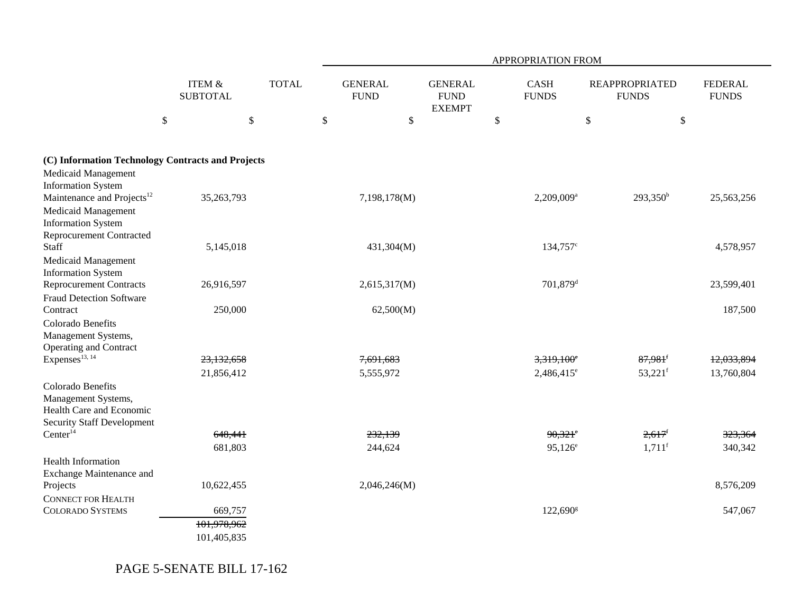|                                                                                                                               |                                      |              |                               |                        |                                                |               | APPROPRIATION FROM                   |                                                |                                |
|-------------------------------------------------------------------------------------------------------------------------------|--------------------------------------|--------------|-------------------------------|------------------------|------------------------------------------------|---------------|--------------------------------------|------------------------------------------------|--------------------------------|
|                                                                                                                               | <b>ITEM &amp;</b><br><b>SUBTOTAL</b> | <b>TOTAL</b> | <b>GENERAL</b><br><b>FUND</b> |                        | <b>GENERAL</b><br><b>FUND</b><br><b>EXEMPT</b> |               | <b>CASH</b><br><b>FUNDS</b>          | <b>REAPPROPRIATED</b><br><b>FUNDS</b>          | <b>FEDERAL</b><br><b>FUNDS</b> |
|                                                                                                                               | \$                                   | $\$\,$       | \$                            | \$                     |                                                | $\mathcal{S}$ |                                      | \$                                             | \$                             |
| (C) Information Technology Contracts and Projects<br>Medicaid Management<br><b>Information System</b>                         |                                      |              |                               |                        |                                                |               |                                      |                                                |                                |
| Maintenance and Projects <sup>12</sup><br>Medicaid Management<br><b>Information System</b><br><b>Reprocurement Contracted</b> | 35,263,793                           |              |                               | 7,198,178(M)           |                                                |               | 2,209,009 <sup>a</sup>               | $293,350^b$                                    | 25,563,256                     |
| Staff<br>Medicaid Management<br><b>Information System</b>                                                                     | 5,145,018                            |              |                               | 431,304(M)             |                                                |               | 134,757 <sup>c</sup>                 |                                                | 4,578,957                      |
| <b>Reprocurement Contracts</b><br><b>Fraud Detection Software</b>                                                             | 26,916,597                           |              |                               | 2,615,317(M)           |                                                |               | 701,879 <sup>d</sup>                 |                                                | 23,599,401                     |
| Contract<br>Colorado Benefits<br>Management Systems,<br>Operating and Contract                                                | 250,000                              |              |                               | 62,500(M)              |                                                |               |                                      |                                                | 187,500                        |
| Expenses <sup>13, 14</sup>                                                                                                    | 23,132,658<br>21,856,412             |              |                               | 7,691,683<br>5,555,972 |                                                |               | $3,319,100^{\circ}$<br>$2,486,415^e$ | $87,981$ <sup>f</sup><br>$53,221$ <sup>f</sup> | 12,033,894<br>13,760,804       |
| Colorado Benefits<br>Management Systems,<br>Health Care and Economic<br><b>Security Staff Development</b>                     |                                      |              |                               |                        |                                                |               |                                      |                                                |                                |
| Center <sup>14</sup>                                                                                                          | 648,441                              |              |                               | 232,139                |                                                |               | $90,321$ <sup>e</sup>                | $2,617$ <sup>f</sup>                           | 323,364                        |
| Health Information<br>Exchange Maintenance and                                                                                | 681,803                              |              |                               | 244,624                |                                                |               | $95,126^e$                           | $1,711$ <sup>f</sup>                           | 340,342                        |
| Projects<br><b>CONNECT FOR HEALTH</b>                                                                                         | 10,622,455                           |              |                               | 2,046,246(M)           |                                                |               |                                      |                                                | 8,576,209                      |
| <b>COLORADO SYSTEMS</b>                                                                                                       | 669,757                              |              |                               |                        |                                                |               | 122,690 <sup>g</sup>                 |                                                | 547,067                        |
|                                                                                                                               | 101,978,962                          |              |                               |                        |                                                |               |                                      |                                                |                                |
|                                                                                                                               | 101,405,835                          |              |                               |                        |                                                |               |                                      |                                                |                                |

PAGE 5-SENATE BILL 17-162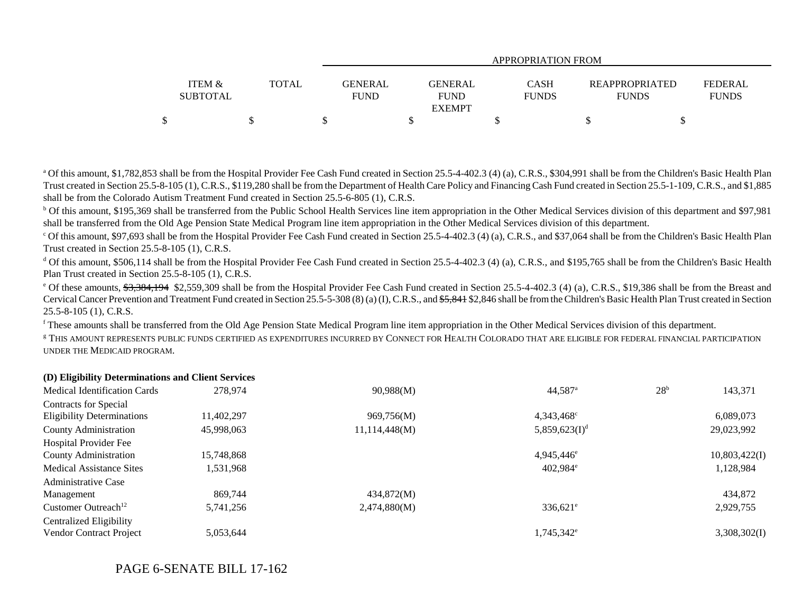|                   |       |             | APPROPRIATION FROM |              |                       |                |  |  |  |  |  |  |
|-------------------|-------|-------------|--------------------|--------------|-----------------------|----------------|--|--|--|--|--|--|
|                   |       |             |                    |              |                       |                |  |  |  |  |  |  |
| <b>ITEM &amp;</b> | TOTAL | GENERAL     | GENERAL            | <b>CASH</b>  | <b>REAPPROPRIATED</b> | <b>FEDERAL</b> |  |  |  |  |  |  |
| <b>SUBTOTAL</b>   |       | <b>FUND</b> | <b>FUND</b>        | <b>FUNDS</b> | <b>FUNDS</b>          | <b>FUNDS</b>   |  |  |  |  |  |  |
|                   |       |             | <b>EXEMPT</b>      |              |                       |                |  |  |  |  |  |  |
|                   |       |             |                    |              |                       |                |  |  |  |  |  |  |

<sup>a</sup> Of this amount, \$1,782,853 shall be from the Hospital Provider Fee Cash Fund created in Section 25.5-4-402.3 (4) (a), C.R.S., \$304,991 shall be from the Children's Basic Health Plan Trust created in Section 25.5-8-105 (1), C.R.S., \$119,280 shall be from the Department of Health Care Policy and Financing Cash Fund created in Section 25.5-1-109, C.R.S., and \$1,885 shall be from the Colorado Autism Treatment Fund created in Section 25.5-6-805 (1), C.R.S.

<sup>b</sup> Of this amount, \$195,369 shall be transferred from the Public School Health Services line item appropriation in the Other Medical Services division of this department and \$97,981 shall be transferred from the Old Age Pension State Medical Program line item appropriation in the Other Medical Services division of this department.

 $^{\circ}$  Of this amount, \$97,693 shall be from the Hospital Provider Fee Cash Fund created in Section 25.5-4-402.3 (4) (a), C.R.S., and \$37,064 shall be from the Children's Basic Health Plan Trust created in Section 25.5-8-105 (1), C.R.S.

<sup>d</sup> Of this amount, \$506,114 shall be from the Hospital Provider Fee Cash Fund created in Section 25.5-4-402.3 (4) (a), C.R.S., and \$195,765 shall be from the Children's Basic Health Plan Trust created in Section 25.5-8-105 (1), C.R.S.

 $^{\circ}$  Of these amounts,  $\frac{43.384,194}{32.559,309}$  shall be from the Hospital Provider Fee Cash Fund created in Section 25.5-4-402.3 (4) (a), C.R.S., \$19,386 shall be from the Breast and Cervical Cancer Prevention and Treatment Fund created in Section 25.5-5-308 (8) (a) (I), C.R.S., and <del>\$5.841</del> \$2,846 shall be from the Children's Basic Health Plan Trust created in Section 25.5-8-105 (1), C.R.S.

f These amounts shall be transferred from the Old Age Pension State Medical Program line item appropriation in the Other Medical Services division of this department.

g THIS AMOUNT REPRESENTS PUBLIC FUNDS CERTIFIED AS EXPENDITURES INCURRED BY CONNECT FOR HEALTH COLORADO THAT ARE ELIGIBLE FOR FEDERAL FINANCIAL PARTICIPATIONUNDER THE MEDICAID PROGRAM.

### **(D) Eligibility Determinations and Client Services**

| <b>Medical Identification Cards</b> | 278,974    | 90,988(M)     | $44,587$ <sup>a</sup>  | 28 <sup>b</sup> | 143,371       |
|-------------------------------------|------------|---------------|------------------------|-----------------|---------------|
| Contracts for Special               |            |               |                        |                 |               |
| <b>Eligibility Determinations</b>   | 11.402.297 | 969,756(M)    | 4,343,468 <sup>c</sup> |                 | 6,089,073     |
| <b>County Administration</b>        | 45,998,063 | 11,114,448(M) | 5,859,623 $(I)^d$      |                 | 29,023,992    |
| Hospital Provider Fee               |            |               |                        |                 |               |
| County Administration               | 15,748,868 |               | 4,945,446 <sup>e</sup> |                 | 10,803,422(I) |
| <b>Medical Assistance Sites</b>     | 1,531,968  |               | $402.984$ <sup>e</sup> |                 | 1,128,984     |
| Administrative Case                 |            |               |                        |                 |               |
| Management                          | 869,744    | 434,872(M)    |                        |                 | 434,872       |
| Customer Outreach <sup>12</sup>     | 5,741,256  | 2,474,880(M)  | $336,621^{\circ}$      |                 | 2,929,755     |
| <b>Centralized Eligibility</b>      |            |               |                        |                 |               |
| Vendor Contract Project             | 5,053,644  |               | 1,745,342 <sup>e</sup> |                 | 3,308,302(I)  |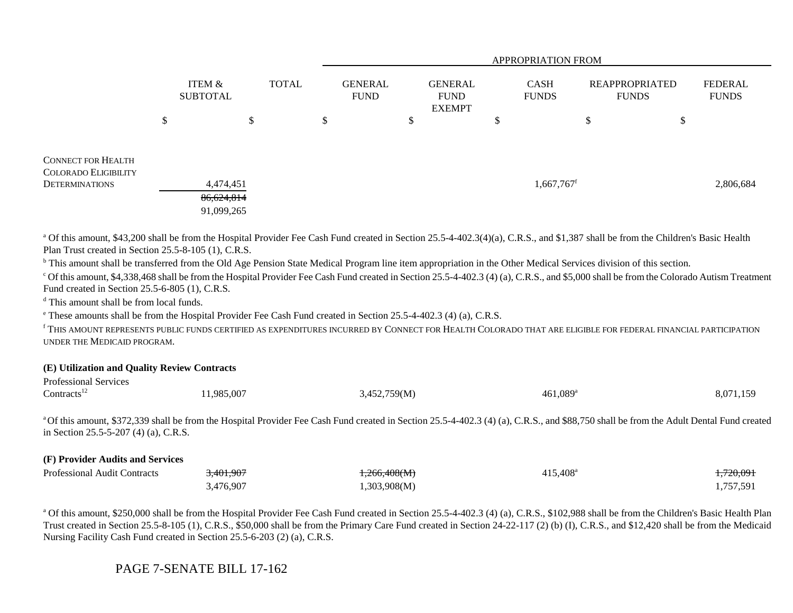|                                                                                   |                                       |              |  |                               | <b>APPROPRIATION FROM</b> |   |                                                |   |                             |                                       |   |                                |  |
|-----------------------------------------------------------------------------------|---------------------------------------|--------------|--|-------------------------------|---------------------------|---|------------------------------------------------|---|-----------------------------|---------------------------------------|---|--------------------------------|--|
|                                                                                   | ITEM &<br><b>SUBTOTAL</b>             | <b>TOTAL</b> |  | <b>GENERAL</b><br><b>FUND</b> |                           |   | <b>GENERAL</b><br><b>FUND</b><br><b>EXEMPT</b> |   | <b>CASH</b><br><b>FUNDS</b> | <b>REAPPROPRIATED</b><br><b>FUNDS</b> |   | <b>FEDERAL</b><br><b>FUNDS</b> |  |
|                                                                                   | \$                                    | \$           |  | \$                            |                           | Ф |                                                | ◡ |                             | \$                                    | P |                                |  |
| <b>CONNECT FOR HEALTH</b><br><b>COLORADO ELIGIBILITY</b><br><b>DETERMINATIONS</b> | 4,474,451<br>86,624,814<br>91,099,265 |              |  |                               |                           |   |                                                |   | $1,667,767$ <sup>f</sup>    |                                       |   | 2,806,684                      |  |

<sup>a</sup> Of this amount, \$43,200 shall be from the Hospital Provider Fee Cash Fund created in Section 25.5-4-402.3(4)(a), C.R.S., and \$1,387 shall be from the Children's Basic Health Plan Trust created in Section 25.5-8-105 (1), C.R.S.

<sup>b</sup> This amount shall be transferred from the Old Age Pension State Medical Program line item appropriation in the Other Medical Services division of this section.

 $^{\circ}$  Of this amount, \$4,338,468 shall be from the Hospital Provider Fee Cash Fund created in Section 25.5-4-402.3 (4) (a), C.R.S., and \$5,000 shall be from the Colorado Autism Treatment Fund created in Section 25.5-6-805 (1), C.R.S.

<sup>d</sup> This amount shall be from local funds.

e These amounts shall be from the Hospital Provider Fee Cash Fund created in Section 25.5-4-402.3 (4) (a), C.R.S.

f THIS AMOUNT REPRESENTS PUBLIC FUNDS CERTIFIED AS EXPENDITURES INCURRED BY CONNECT FOR HEALTH COLORADO THAT ARE ELIGIBLE FOR FEDERAL FINANCIAL PARTICIPATION UNDER THE MEDICAID PROGRAM.

#### **(E) Utilization and Quality Review Contracts**

| <b>Professional Services</b> |           |              |                        |           |
|------------------------------|-----------|--------------|------------------------|-----------|
| Contracts <sup>12</sup>      | 1,985,007 | 3,452,759(M) | $461,089$ <sup>a</sup> | 8,071,159 |

<sup>a</sup> Of this amount, \$372,339 shall be from the Hospital Provider Fee Cash Fund created in Section 25.5-4-402.3 (4) (a), C.R.S., and \$88,750 shall be from the Adult Dental Fund created in Section 25.5-5-207 (4) (a), C.R.S.

### **(F) Provider Audits and Services**

| <b>Professional Audit Contracts</b> | 3,401,907 | <del>,266,408(M)</del> | 415,408 <sup>a</sup> | <del>,720,09.</del> |
|-------------------------------------|-----------|------------------------|----------------------|---------------------|
|                                     | ,476,907  | ,303,908(M)            |                      | $757.59^{\circ}$    |

<sup>a</sup> Of this amount, \$250,000 shall be from the Hospital Provider Fee Cash Fund created in Section 25.5-4-402.3 (4) (a), C.R.S., \$102,988 shall be from the Children's Basic Health Plan Trust created in Section 25.5-8-105 (1), C.R.S., \$50,000 shall be from the Primary Care Fund created in Section 24-22-117 (2) (b) (I), C.R.S., and \$12,420 shall be from the Medicaid Nursing Facility Cash Fund created in Section 25.5-6-203 (2) (a), C.R.S.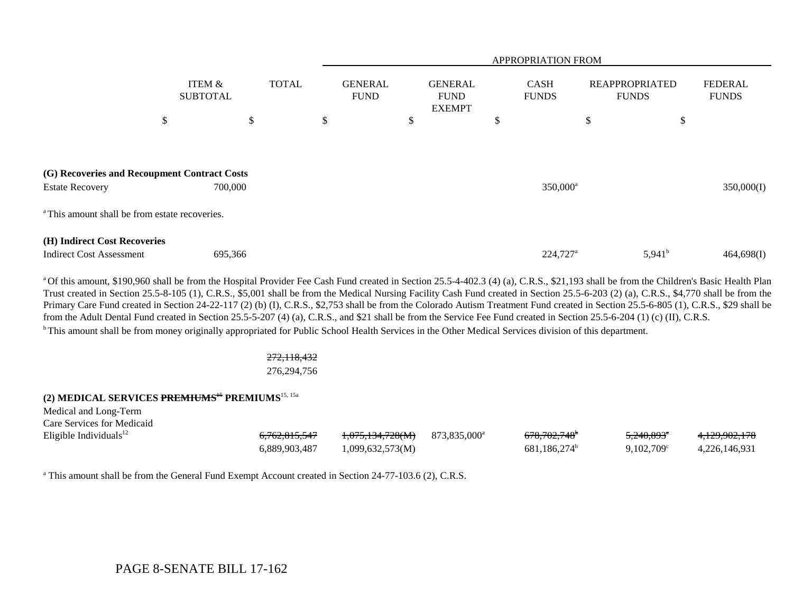|                                                                                                                                     |                           |              |                               | APPROPRIATION FROM                             |                             |                                       |                                |  |  |  |  |  |
|-------------------------------------------------------------------------------------------------------------------------------------|---------------------------|--------------|-------------------------------|------------------------------------------------|-----------------------------|---------------------------------------|--------------------------------|--|--|--|--|--|
|                                                                                                                                     | ITEM &<br><b>SUBTOTAL</b> | <b>TOTAL</b> | <b>GENERAL</b><br><b>FUND</b> | <b>GENERAL</b><br><b>FUND</b><br><b>EXEMPT</b> | <b>CASH</b><br><b>FUNDS</b> | <b>REAPPROPRIATED</b><br><b>FUNDS</b> | <b>FEDERAL</b><br><b>FUNDS</b> |  |  |  |  |  |
|                                                                                                                                     | \$                        | \$           | \$                            | \$                                             | \$                          | \$                                    | \$                             |  |  |  |  |  |
| (G) Recoveries and Recoupment Contract Costs<br><b>Estate Recovery</b><br><sup>a</sup> This amount shall be from estate recoveries. | 700,000                   |              |                               |                                                | 350,000 <sup>a</sup>        |                                       | 350,000(I)                     |  |  |  |  |  |
|                                                                                                                                     |                           |              |                               |                                                |                             |                                       |                                |  |  |  |  |  |
| (H) Indirect Cost Recoveries<br><b>Indirect Cost Assessment</b>                                                                     | 695,366                   |              |                               |                                                | 224,727 <sup>a</sup>        | $5,941^b$                             | 464,698(I)                     |  |  |  |  |  |

<sup>a</sup> Of this amount, \$190,960 shall be from the Hospital Provider Fee Cash Fund created in Section 25.5-4-402.3 (4) (a), C.R.S., \$21,193 shall be from the Children's Basic Health Plan Trust created in Section 25.5-8-105 (1), C.R.S., \$5,001 shall be from the Medical Nursing Facility Cash Fund created in Section 25.5-6-203 (2) (a), C.R.S., \$4,770 shall be from the Primary Care Fund created in Section 24-22-117 (2) (b) (I), C.R.S., \$2,753 shall be from the Colorado Autism Treatment Fund created in Section 25.5-6-805 (1), C.R.S., \$29 shall be from the Adult Dental Fund created in Section 25.5-5-207 (4) (a), C.R.S., and \$21 shall be from the Service Fee Fund created in Section 25.5-6-204 (1) (c) (II), C.R.S. <sup>b</sup> This amount shall be from money originally appropriated for Public School Health Services in the Other Medical Services division of this department.

### 272,118,432

### 276,294,756

### **(2) MEDICAL SERVICES PREMIUMS**<sup>15</sup> **PREMIUMS**15, 15a

| Medical and Long-Term<br>Care Services for Medicaid |                          |                             |                          |                          |                        |               |
|-----------------------------------------------------|--------------------------|-----------------------------|--------------------------|--------------------------|------------------------|---------------|
|                                                     |                          |                             |                          |                          |                        |               |
| Eligible Individuals $^{12}$                        | <del>6,762,815,547</del> | <del>1,075,134,728(M)</del> | 873.835.000 <sup>a</sup> | <del>678.702.748</del> * | 5,240,893 <sup>e</sup> | 4,129,902,178 |
|                                                     | 6.889.903.487            | 1,099,632,573(M)            |                          | 681.186.274 <sup>b</sup> | $9,102,709^{\circ}$    | 4.226.146.931 |

<sup>a</sup> This amount shall be from the General Fund Exempt Account created in Section 24-77-103.6 (2), C.R.S.

# PAGE 8-SENATE BILL 17-162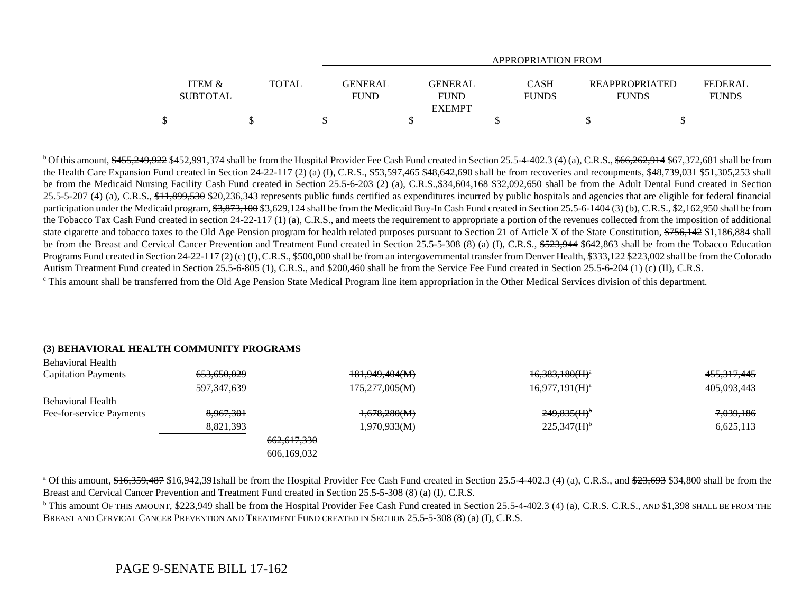|                                      |       | APPROPRIATION FROM     |                                                |                             |                                       |                                |  |  |  |  |  |  |
|--------------------------------------|-------|------------------------|------------------------------------------------|-----------------------------|---------------------------------------|--------------------------------|--|--|--|--|--|--|
| <b>ITEM &amp;</b><br><b>SUBTOTAL</b> | TOTAL | GENERAL<br><b>FUND</b> | <b>GENERAL</b><br><b>FUND</b><br><b>EXEMPT</b> | <b>CASH</b><br><b>FUNDS</b> | <b>REAPPROPRIATED</b><br><b>FUNDS</b> | <b>FEDERAL</b><br><b>FUNDS</b> |  |  |  |  |  |  |
|                                      |       |                        |                                                |                             |                                       |                                |  |  |  |  |  |  |

<sup>b</sup> Of this amount,  $\frac{455,249,922}{6}$  \$452,991,374 shall be from the Hospital Provider Fee Cash Fund created in Section 25.5-4-402.3 (4) (a), C.R.S.,  $\frac{66,262,914}{66,262,914}$  \$67,372,681 shall be from the Health Care Expansion Fund created in Section 24-22-117 (2) (a) (I), C.R.S.,  $\frac{253}{300}$ ,  $\frac{533}{300}$ ,  $\frac{465}{300}$ ,  $\frac{468}{300}$  shall be from recoveries and recoupments,  $\frac{48}{300}$ ,  $\frac{48}{300}$ ,  $\frac{483}{300$ be from the Medicaid Nursing Facility Cash Fund created in Section 25.5-6-203 (2) (a), C.R.S., \$34, 604, 168 \$32,092, 650 shall be from the Adult Dental Fund created in Section 25.5-5-207 (4) (a), C.R.S., \$11,899,530 \$20,236,343 represents public funds certified as expenditures incurred by public hospitals and agencies that are eligible for federal financial participation under the Medicaid program, \$3,873,100 \$3,629,124 shall be from the Medicaid Buy-In Cash Fund created in Section 25.5-6-1404 (3) (b), C.R.S., \$2,162,950 shall be from the Tobacco Tax Cash Fund created in section 24-22-117 (1) (a), C.R.S., and meets the requirement to appropriate a portion of the revenues collected from the imposition of additional state cigarette and tobacco taxes to the Old Age Pension program for health related purposes pursuant to Section 21 of Article X of the State Constitution, \$756,142 \$1,186,884 shall be from the Breast and Cervical Cancer Prevention and Treatment Fund created in Section 25.5-5-308 (8) (a) (I), C.R.S., \$523,944 \$642,863 shall be from the Tobacco Education Programs Fund created in Section 24-22-117 (2) (c) (I), C.R.S., \$500,000 shall be from an intergovernmental transfer from Denver Health, \$333,122 \$223,002 shall be from the Colorado Autism Treatment Fund created in Section 25.5-6-805 (1), C.R.S., and \$200,460 shall be from the Service Fee Fund created in Section 25.5-6-204 (1) (c) (II), C.R.S.

<sup>c</sup> This amount shall be transferred from the Old Age Pension State Medical Program line item appropriation in the Other Medical Services division of this department.

#### **(3) BEHAVIORAL HEALTH COMMUNITY PROGRAMS**

| <b>Behavioral Health</b>   |                        |                        |                           |             |
|----------------------------|------------------------|------------------------|---------------------------|-------------|
| <b>Capitation Payments</b> | <del>653,650,029</del> | 181,949,404(M)         | $16,383,180(H)^a$         | 455,317,445 |
|                            | 597,347,639            | 175,277,005(M)         | $16,977,191(H)^a$         | 405,093,443 |
| <b>Behavioral Health</b>   |                        |                        |                           |             |
| Fee-for-service Payments   | 8,967,301              | 1,678,280(M)           | $249,835(H)$ <sup>b</sup> | 7,039,186   |
|                            | 8,821,393              | 1,970,933(M)           | $225,347(H)$ <sup>b</sup> | 6,625,113   |
|                            |                        | <del>662,617,330</del> |                           |             |
|                            |                        | 606,169,032            |                           |             |

<sup>a</sup> Of this amount,  $$16,359,487$  \$16,942,391shall be from the Hospital Provider Fee Cash Fund created in Section 25.5-4-402.3 (4) (a), C.R.S., and  $$23,693$  \$34,800 shall be from the Breast and Cervical Cancer Prevention and Treatment Fund created in Section 25.5-5-308 (8) (a) (I), C.R.S.

 $\overline{b}$  This amount OF THIS AMOUNT, \$223,949 shall be from the Hospital Provider Fee Cash Fund created in Section 25.5-4-402.3 (4) (a), C.R.S., AND \$1,398 SHALL BE FROM THE BREAST AND CERVICAL CANCER PREVENTION AND TREATMENT FUND CREATED IN SECTION 25.5-5-308 (8) (a) (I), C.R.S.

# PAGE 9-SENATE BILL 17-162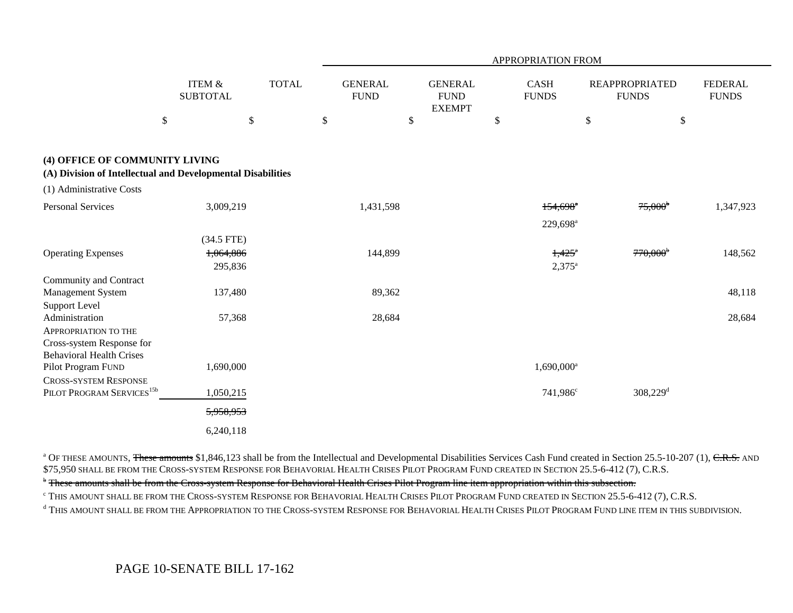|                                                                                               |                                      |              |                               |                                                | <b>APPROPRIATION FROM</b>               |                                       |                                |
|-----------------------------------------------------------------------------------------------|--------------------------------------|--------------|-------------------------------|------------------------------------------------|-----------------------------------------|---------------------------------------|--------------------------------|
|                                                                                               | <b>ITEM &amp;</b><br><b>SUBTOTAL</b> | <b>TOTAL</b> | <b>GENERAL</b><br><b>FUND</b> | <b>GENERAL</b><br><b>FUND</b><br><b>EXEMPT</b> | <b>CASH</b><br><b>FUNDS</b>             | <b>REAPPROPRIATED</b><br><b>FUNDS</b> | <b>FEDERAL</b><br><b>FUNDS</b> |
| $\$\,$                                                                                        | $\mathcal{S}$                        |              | \$                            | $\boldsymbol{\mathsf{S}}$                      | \$                                      | $\$\,$                                | $\$$                           |
| (4) OFFICE OF COMMUNITY LIVING<br>(A) Division of Intellectual and Developmental Disabilities |                                      |              |                               |                                                |                                         |                                       |                                |
| (1) Administrative Costs                                                                      |                                      |              |                               |                                                |                                         |                                       |                                |
| <b>Personal Services</b>                                                                      | 3,009,219                            |              | 1,431,598                     |                                                | $154,698$ <sup>a</sup>                  | $75,000^{\circ}$                      | 1,347,923                      |
|                                                                                               |                                      |              |                               |                                                | 229,698 <sup>a</sup>                    |                                       |                                |
|                                                                                               | $(34.5$ FTE)                         |              |                               |                                                |                                         |                                       |                                |
| <b>Operating Expenses</b>                                                                     | 1,064,886<br>295,836                 |              | 144,899                       |                                                | $1,425$ <sup>a</sup><br>$2,375^{\rm a}$ | $770,000$ <sup>b</sup>                | 148,562                        |
| Community and Contract                                                                        |                                      |              |                               |                                                |                                         |                                       |                                |
| Management System                                                                             | 137,480                              |              | 89,362                        |                                                |                                         |                                       | 48,118                         |
| Support Level                                                                                 |                                      |              |                               |                                                |                                         |                                       |                                |
| Administration                                                                                | 57,368                               |              | 28,684                        |                                                |                                         |                                       | 28,684                         |
| <b>APPROPRIATION TO THE</b>                                                                   |                                      |              |                               |                                                |                                         |                                       |                                |
| Cross-system Response for<br><b>Behavioral Health Crises</b>                                  |                                      |              |                               |                                                |                                         |                                       |                                |
| Pilot Program FUND                                                                            | 1,690,000                            |              |                               |                                                | $1,690,000$ <sup>a</sup>                |                                       |                                |
| <b>CROSS-SYSTEM RESPONSE</b>                                                                  |                                      |              |                               |                                                |                                         |                                       |                                |
| PILOT PROGRAM SERVICES <sup>15b</sup>                                                         | 1,050,215                            |              |                               |                                                | 741,986 <sup>c</sup>                    | $308,229$ <sup>d</sup>                |                                |
|                                                                                               | 5,958,953                            |              |                               |                                                |                                         |                                       |                                |
|                                                                                               | 6,240,118                            |              |                               |                                                |                                         |                                       |                                |

<sup>a</sup> OF THESE AMOUNTS, These amounts \$1,846,123 shall be from the Intellectual and Developmental Disabilities Services Cash Fund created in Section 25.5-10-207 (1), C.R.S. AND \$75,950 SHALL BE FROM THE CROSS-SYSTEM RESPONSE FOR BEHAVORIAL HEALTH CRISES PILOT PROGRAM FUND CREATED IN SECTION 25.5-6-412 (7), C.R.S.

<sup>b</sup> These amounts shall be from the Cross-system Response for Behavioral Health Crises Pilot Program line item appropriation within this subsection.

 $^\circ$  This amount shall be from the Cross-system Response for Behavorial Health Crises Pilot Program Fund created in Section 25.5-6-412 (7), C.R.S.

<sup>d</sup> This amount shall be from the Appropriation to the Cross-system Response for Behavorial Health Crises Pilot Program Fund line item in this subdivision.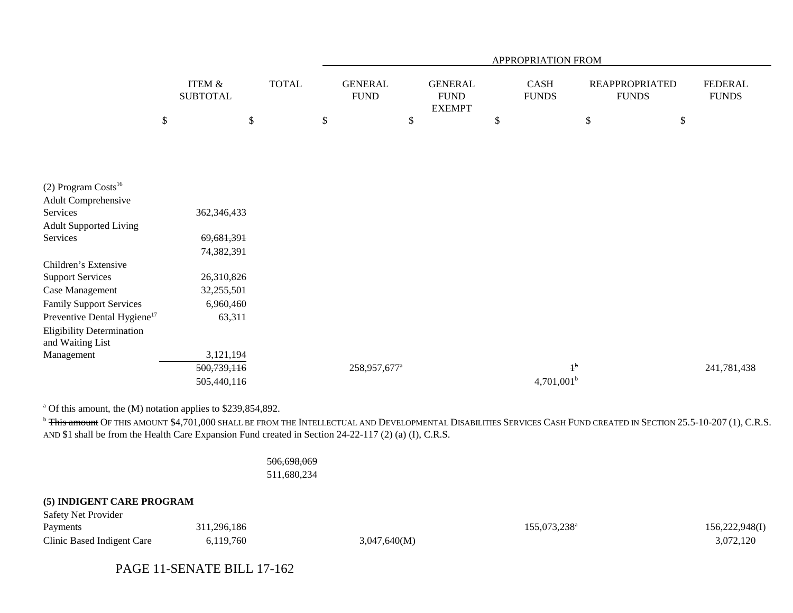|                                         |                                      |              | APPROPRIATION FROM |                               |    |                                                |    |                      |    |                                       |                                |
|-----------------------------------------|--------------------------------------|--------------|--------------------|-------------------------------|----|------------------------------------------------|----|----------------------|----|---------------------------------------|--------------------------------|
|                                         | <b>ITEM &amp;</b><br><b>SUBTOTAL</b> | <b>TOTAL</b> |                    | <b>GENERAL</b><br><b>FUND</b> |    | <b>GENERAL</b><br><b>FUND</b><br><b>EXEMPT</b> |    | CASH<br><b>FUNDS</b> |    | <b>REAPPROPRIATED</b><br><b>FUNDS</b> | <b>FEDERAL</b><br><b>FUNDS</b> |
|                                         | \$                                   | \$           | \$                 |                               | \$ |                                                | \$ |                      | \$ | $\$$                                  |                                |
|                                         |                                      |              |                    |                               |    |                                                |    |                      |    |                                       |                                |
|                                         |                                      |              |                    |                               |    |                                                |    |                      |    |                                       |                                |
|                                         |                                      |              |                    |                               |    |                                                |    |                      |    |                                       |                                |
| (2) Program Costs <sup>16</sup>         |                                      |              |                    |                               |    |                                                |    |                      |    |                                       |                                |
| Adult Comprehensive                     |                                      |              |                    |                               |    |                                                |    |                      |    |                                       |                                |
| Services                                | 362,346,433                          |              |                    |                               |    |                                                |    |                      |    |                                       |                                |
| <b>Adult Supported Living</b>           |                                      |              |                    |                               |    |                                                |    |                      |    |                                       |                                |
| Services                                | 69,681,391                           |              |                    |                               |    |                                                |    |                      |    |                                       |                                |
|                                         | 74,382,391                           |              |                    |                               |    |                                                |    |                      |    |                                       |                                |
| Children's Extensive                    |                                      |              |                    |                               |    |                                                |    |                      |    |                                       |                                |
| <b>Support Services</b>                 | 26,310,826                           |              |                    |                               |    |                                                |    |                      |    |                                       |                                |
| Case Management                         | 32,255,501                           |              |                    |                               |    |                                                |    |                      |    |                                       |                                |
| Family Support Services                 | 6,960,460                            |              |                    |                               |    |                                                |    |                      |    |                                       |                                |
| Preventive Dental Hygiene <sup>17</sup> | 63,311                               |              |                    |                               |    |                                                |    |                      |    |                                       |                                |
| <b>Eligibility Determination</b>        |                                      |              |                    |                               |    |                                                |    |                      |    |                                       |                                |
| and Waiting List                        |                                      |              |                    |                               |    |                                                |    |                      |    |                                       |                                |
| Management                              | 3,121,194                            |              |                    |                               |    |                                                |    |                      |    |                                       |                                |
|                                         | 500,739,116                          |              |                    | 258,957,677 <sup>a</sup>      |    |                                                |    | $1^{\rm b}$          |    |                                       | 241,781,438                    |
|                                         | 505,440,116                          |              |                    |                               |    |                                                |    | $4,701,001^b$        |    |                                       |                                |

a Of this amount, the (M) notation applies to \$239,854,892.

 $^{\rm b}$  <del>This amount</del> Of this amount \$4,701,000 shall be from the Intellectual and Developmental Disabilities Services Cash Fund created in Section 25.5-10-207 (1), C.R.S. AND \$1 shall be from the Health Care Expansion Fund created in Section 24-22-117 (2) (a) (I), C.R.S.

> 506,698,069 511,680,234

### **(5) INDIGENT CARE PROGRAM**

| <b>Safety Net Provider</b> |             |              |              |                |
|----------------------------|-------------|--------------|--------------|----------------|
| Payments                   | 311,296,186 |              | 155,073,238ª | 156,222,948(I) |
| Clinic Based Indigent Care | 6,119,760   | 3,047,640(M) |              | 3,072,120      |

PAGE 11-SENATE BILL 17-162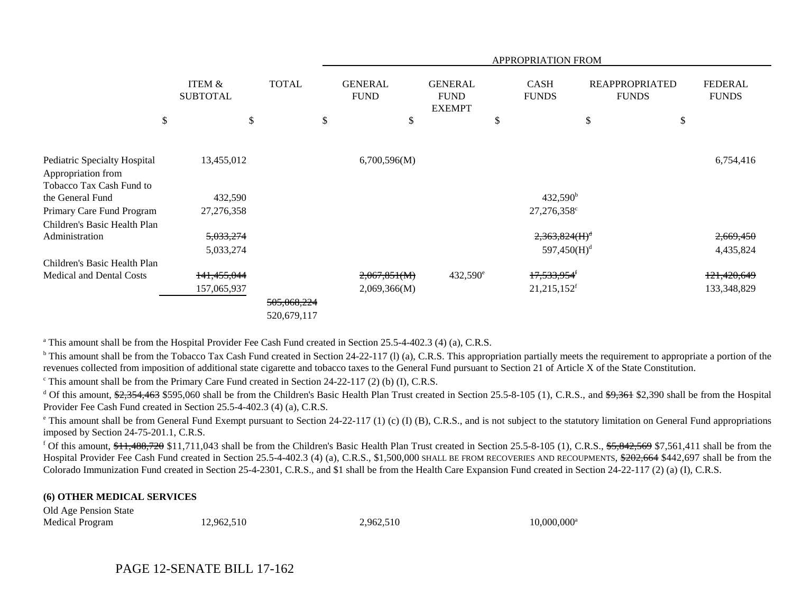|                                                                                |                                      |              | APPROPRIATION FROM |                               |    |                                                |    |                             |    |                                       |                                |
|--------------------------------------------------------------------------------|--------------------------------------|--------------|--------------------|-------------------------------|----|------------------------------------------------|----|-----------------------------|----|---------------------------------------|--------------------------------|
|                                                                                | <b>ITEM &amp;</b><br><b>SUBTOTAL</b> | <b>TOTAL</b> |                    | <b>GENERAL</b><br><b>FUND</b> |    | <b>GENERAL</b><br><b>FUND</b><br><b>EXEMPT</b> |    | <b>CASH</b><br><b>FUNDS</b> |    | <b>REAPPROPRIATED</b><br><b>FUNDS</b> | <b>FEDERAL</b><br><b>FUNDS</b> |
|                                                                                | \$<br>\$                             |              | \$                 |                               | \$ |                                                | \$ |                             | \$ | \$                                    |                                |
|                                                                                |                                      |              |                    |                               |    |                                                |    |                             |    |                                       |                                |
| Pediatric Specialty Hospital<br>Appropriation from<br>Tobacco Tax Cash Fund to | 13,455,012                           |              |                    | 6,700,596(M)                  |    |                                                |    |                             |    |                                       | 6,754,416                      |
| the General Fund                                                               | 432,590                              |              |                    |                               |    |                                                |    | $432,590^{\rm b}$           |    |                                       |                                |
| Primary Care Fund Program                                                      | 27,276,358                           |              |                    |                               |    |                                                |    | 27,276,358 <sup>c</sup>     |    |                                       |                                |
| Children's Basic Health Plan                                                   |                                      |              |                    |                               |    |                                                |    |                             |    |                                       |                                |
| Administration                                                                 | 5,033,274                            |              |                    |                               |    |                                                |    | 2,363,824(H) <sup>d</sup>   |    |                                       | 2,669,450                      |
|                                                                                | 5,033,274                            |              |                    |                               |    |                                                |    | 597,450(H) <sup>d</sup>     |    |                                       | 4,435,824                      |
| Children's Basic Health Plan                                                   |                                      |              |                    |                               |    |                                                |    |                             |    |                                       |                                |
| Medical and Dental Costs                                                       | 141,455,044                          |              |                    | 2,067,851(M)                  |    | $432,590^{\circ}$                              |    | 17,533,954 <sup>f</sup>     |    |                                       | 121,420,649                    |
|                                                                                | 157,065,937                          |              |                    | 2,069,366(M)                  |    |                                                |    | 21,215,152 <sup>f</sup>     |    |                                       | 133,348,829                    |
|                                                                                |                                      | 505,068,224  |                    |                               |    |                                                |    |                             |    |                                       |                                |
|                                                                                |                                      | 520,679,117  |                    |                               |    |                                                |    |                             |    |                                       |                                |

<sup>a</sup> This amount shall be from the Hospital Provider Fee Cash Fund created in Section 25.5-4-402.3 (4) (a), C.R.S.

<sup>b</sup> This amount shall be from the Tobacco Tax Cash Fund created in Section 24-22-117 (1) (a), C.R.S. This appropriation partially meets the requirement to appropriate a portion of the revenues collected from imposition of additional state cigarette and tobacco taxes to the General Fund pursuant to Section 21 of Article X of the State Constitution.

 $\textdegree$  This amount shall be from the Primary Care Fund created in Section 24-22-117 (2) (b) (I), C.R.S.

<sup>d</sup> Of this amount,  $\frac{1}{2}$ , 354, 463 \$595,060 shall be from the Children's Basic Health Plan Trust created in Section 25.5-8-105 (1), C.R.S., and  $\frac{1}{2}$ , 390 shall be from the Hospital Provider Fee Cash Fund created in Section 25.5-4-402.3 (4) (a), C.R.S.

<sup>e</sup> This amount shall be from General Fund Exempt pursuant to Section 24-22-117 (1) (c) (I) (B), C.R.S., and is not subject to the statutory limitation on General Fund appropriations imposed by Section 24-75-201.1, C.R.S.

<sup>f</sup> Of this amount,  $$11,488,720$  \$11,711,043 shall be from the Children's Basic Health Plan Trust created in Section 25.5-8-105 (1), C.R.S.,  $$5,842,569$  \$7,561,411 shall be from the Hospital Provider Fee Cash Fund created in Section 25.5-4-402.3 (4) (a), C.R.S., \$1,500,000 SHALL BE FROM RECOVERIES AND RECOUPMENTS, \$202,664 \$442,697 shall be from the Colorado Immunization Fund created in Section 25-4-2301, C.R.S., and \$1 shall be from the Health Care Expansion Fund created in Section 24-22-117 (2) (a) (I), C.R.S.

### **(6) OTHER MEDICAL SERVICES**

| Old Age Pension State  |            |           |                |
|------------------------|------------|-----------|----------------|
| <b>Medical Program</b> | 12,962,510 | 2,962,510 | $10,000,000^a$ |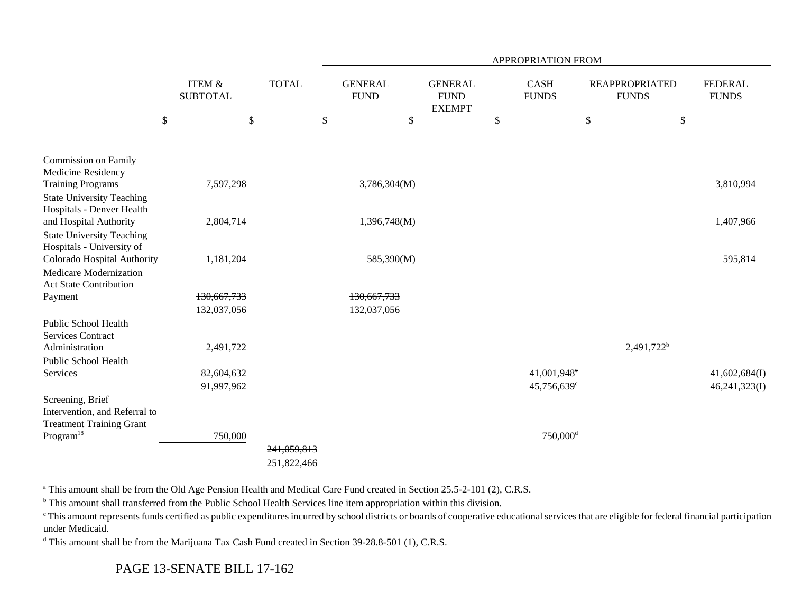|                                                                                         |                                      |              | APPROPRIATION FROM |                               |                                                 |    |                             |      |                                       |                                |
|-----------------------------------------------------------------------------------------|--------------------------------------|--------------|--------------------|-------------------------------|-------------------------------------------------|----|-----------------------------|------|---------------------------------------|--------------------------------|
|                                                                                         | <b>ITEM &amp;</b><br><b>SUBTOTAL</b> | <b>TOTAL</b> |                    | <b>GENERAL</b><br><b>FUND</b> | <b>GENERAL</b><br>${\rm FUND}$<br><b>EXEMPT</b> |    | <b>CASH</b><br><b>FUNDS</b> |      | <b>REAPPROPRIATED</b><br><b>FUNDS</b> | <b>FEDERAL</b><br><b>FUNDS</b> |
|                                                                                         | \$<br>\$                             |              | \$                 | \$                            |                                                 | \$ |                             | $\$$ | \$                                    |                                |
| Commission on Family                                                                    |                                      |              |                    |                               |                                                 |    |                             |      |                                       |                                |
| Medicine Residency<br><b>Training Programs</b>                                          | 7,597,298                            |              |                    | 3,786,304(M)                  |                                                 |    |                             |      |                                       | 3,810,994                      |
| <b>State University Teaching</b><br>Hospitals - Denver Health                           |                                      |              |                    |                               |                                                 |    |                             |      |                                       |                                |
| and Hospital Authority<br><b>State University Teaching</b><br>Hospitals - University of | 2,804,714                            |              |                    | 1,396,748(M)                  |                                                 |    |                             |      |                                       | 1,407,966                      |
| Colorado Hospital Authority                                                             | 1,181,204                            |              |                    | 585,390(M)                    |                                                 |    |                             |      |                                       | 595,814                        |
| Medicare Modernization<br><b>Act State Contribution</b>                                 |                                      |              |                    |                               |                                                 |    |                             |      |                                       |                                |
| Payment                                                                                 | 130,667,733                          |              |                    | 130,667,733                   |                                                 |    |                             |      |                                       |                                |
|                                                                                         | 132,037,056                          |              |                    | 132,037,056                   |                                                 |    |                             |      |                                       |                                |
| Public School Health<br><b>Services Contract</b>                                        |                                      |              |                    |                               |                                                 |    |                             |      |                                       |                                |
| Administration                                                                          | 2,491,722                            |              |                    |                               |                                                 |    |                             |      | 2,491,722 <sup>b</sup>                |                                |
| Public School Health                                                                    |                                      |              |                    |                               |                                                 |    |                             |      |                                       |                                |
| Services                                                                                | 82,604,632                           |              |                    |                               |                                                 |    | 41,001,948 <sup>e</sup>     |      |                                       | 41,602,684(I)                  |
|                                                                                         | 91,997,962                           |              |                    |                               |                                                 |    | 45,756,639 <sup>c</sup>     |      |                                       | 46,241,323(I)                  |
| Screening, Brief<br>Intervention, and Referral to                                       |                                      |              |                    |                               |                                                 |    |                             |      |                                       |                                |
| <b>Treatment Training Grant</b>                                                         |                                      |              |                    |                               |                                                 |    |                             |      |                                       |                                |
| $\rm{Program^{18}}$                                                                     | 750,000                              |              |                    |                               |                                                 |    | $750,000$ <sup>d</sup>      |      |                                       |                                |
|                                                                                         |                                      | 241,059,813  |                    |                               |                                                 |    |                             |      |                                       |                                |
|                                                                                         |                                      | 251,822,466  |                    |                               |                                                 |    |                             |      |                                       |                                |

<sup>a</sup> This amount shall be from the Old Age Pension Health and Medical Care Fund created in Section 25.5-2-101 (2), C.R.S.

<sup>b</sup> This amount shall transferred from the Public School Health Services line item appropriation within this division.

<sup>c</sup> This amount represents funds certified as public expenditures incurred by school districts or boards of cooperative educational services that are eligible for federal financial participation under Medicaid.

<sup>d</sup> This amount shall be from the Marijuana Tax Cash Fund created in Section 39-28.8-501 (1), C.R.S.

PAGE 13-SENATE BILL 17-162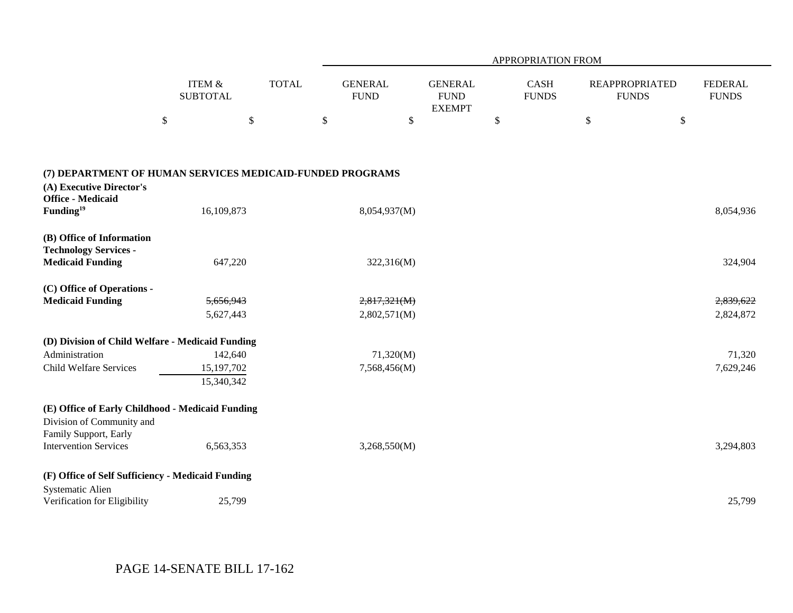| ITEM $\&$<br><b>TOTAL</b><br><b>GENERAL</b><br><b>GENERAL</b><br><b>CASH</b><br><b>FEDERAL</b><br><b>REAPPROPRIATED</b><br><b>SUBTOTAL</b><br><b>FUND</b><br><b>FUND</b><br><b>FUNDS</b><br><b>FUNDS</b><br><b>FUNDS</b><br><b>EXEMPT</b><br>$\mathbb{S}$<br>$\mathbb{S}$<br>\$<br>\$<br>\$<br>\$<br>\$<br>(7) DEPARTMENT OF HUMAN SERVICES MEDICAID-FUNDED PROGRAMS<br>(A) Executive Director's<br><b>Office - Medicaid</b><br>Funding <sup>19</sup><br>16,109,873<br>8,054,937(M)<br>8,054,936<br>(B) Office of Information<br><b>Technology Services -</b><br><b>Medicaid Funding</b><br>647,220<br>322,316(M)<br>324,904<br>(C) Office of Operations -<br><b>Medicaid Funding</b><br>2,817,321(M)<br>5,656,943<br>2,839,622<br>5,627,443<br>2,802,571(M)<br>2,824,872<br>(D) Division of Child Welfare - Medicaid Funding<br>Administration<br>142,640<br>71,320(M)<br>71,320<br>Child Welfare Services<br>15,197,702<br>7,568,456(M)<br>7,629,246<br>15,340,342<br>(E) Office of Early Childhood - Medicaid Funding<br>Division of Community and<br>Family Support, Early<br><b>Intervention Services</b><br>6,563,353<br>3,268,550(M)<br>3,294,803<br>(F) Office of Self Sufficiency - Medicaid Funding<br>Systematic Alien<br>25,799<br>25,799<br>Verification for Eligibility |  | <b>APPROPRIATION FROM</b> |  |  |  |  |  |  |  |  |
|---------------------------------------------------------------------------------------------------------------------------------------------------------------------------------------------------------------------------------------------------------------------------------------------------------------------------------------------------------------------------------------------------------------------------------------------------------------------------------------------------------------------------------------------------------------------------------------------------------------------------------------------------------------------------------------------------------------------------------------------------------------------------------------------------------------------------------------------------------------------------------------------------------------------------------------------------------------------------------------------------------------------------------------------------------------------------------------------------------------------------------------------------------------------------------------------------------------------------------------------------------------------------------------|--|---------------------------|--|--|--|--|--|--|--|--|
|                                                                                                                                                                                                                                                                                                                                                                                                                                                                                                                                                                                                                                                                                                                                                                                                                                                                                                                                                                                                                                                                                                                                                                                                                                                                                       |  |                           |  |  |  |  |  |  |  |  |
|                                                                                                                                                                                                                                                                                                                                                                                                                                                                                                                                                                                                                                                                                                                                                                                                                                                                                                                                                                                                                                                                                                                                                                                                                                                                                       |  |                           |  |  |  |  |  |  |  |  |
|                                                                                                                                                                                                                                                                                                                                                                                                                                                                                                                                                                                                                                                                                                                                                                                                                                                                                                                                                                                                                                                                                                                                                                                                                                                                                       |  |                           |  |  |  |  |  |  |  |  |
|                                                                                                                                                                                                                                                                                                                                                                                                                                                                                                                                                                                                                                                                                                                                                                                                                                                                                                                                                                                                                                                                                                                                                                                                                                                                                       |  |                           |  |  |  |  |  |  |  |  |
|                                                                                                                                                                                                                                                                                                                                                                                                                                                                                                                                                                                                                                                                                                                                                                                                                                                                                                                                                                                                                                                                                                                                                                                                                                                                                       |  |                           |  |  |  |  |  |  |  |  |
|                                                                                                                                                                                                                                                                                                                                                                                                                                                                                                                                                                                                                                                                                                                                                                                                                                                                                                                                                                                                                                                                                                                                                                                                                                                                                       |  |                           |  |  |  |  |  |  |  |  |
|                                                                                                                                                                                                                                                                                                                                                                                                                                                                                                                                                                                                                                                                                                                                                                                                                                                                                                                                                                                                                                                                                                                                                                                                                                                                                       |  |                           |  |  |  |  |  |  |  |  |
|                                                                                                                                                                                                                                                                                                                                                                                                                                                                                                                                                                                                                                                                                                                                                                                                                                                                                                                                                                                                                                                                                                                                                                                                                                                                                       |  |                           |  |  |  |  |  |  |  |  |
|                                                                                                                                                                                                                                                                                                                                                                                                                                                                                                                                                                                                                                                                                                                                                                                                                                                                                                                                                                                                                                                                                                                                                                                                                                                                                       |  |                           |  |  |  |  |  |  |  |  |
|                                                                                                                                                                                                                                                                                                                                                                                                                                                                                                                                                                                                                                                                                                                                                                                                                                                                                                                                                                                                                                                                                                                                                                                                                                                                                       |  |                           |  |  |  |  |  |  |  |  |
|                                                                                                                                                                                                                                                                                                                                                                                                                                                                                                                                                                                                                                                                                                                                                                                                                                                                                                                                                                                                                                                                                                                                                                                                                                                                                       |  |                           |  |  |  |  |  |  |  |  |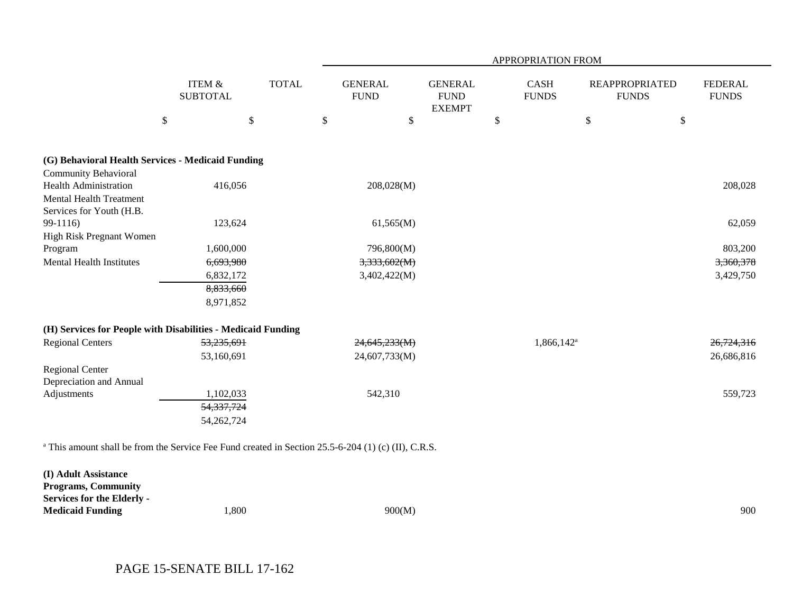|                                                                                                                |                                      |              | <b>APPROPRIATION FROM</b>     |                                                |                      |                                       |                                |  |  |  |
|----------------------------------------------------------------------------------------------------------------|--------------------------------------|--------------|-------------------------------|------------------------------------------------|----------------------|---------------------------------------|--------------------------------|--|--|--|
|                                                                                                                | <b>ITEM &amp;</b><br><b>SUBTOTAL</b> | <b>TOTAL</b> | <b>GENERAL</b><br><b>FUND</b> | <b>GENERAL</b><br><b>FUND</b><br><b>EXEMPT</b> | CASH<br><b>FUNDS</b> | <b>REAPPROPRIATED</b><br><b>FUNDS</b> | <b>FEDERAL</b><br><b>FUNDS</b> |  |  |  |
| \$                                                                                                             |                                      | \$           | $\$$                          | \$                                             | \$                   | \$                                    | \$                             |  |  |  |
| (G) Behavioral Health Services - Medicaid Funding                                                              |                                      |              |                               |                                                |                      |                                       |                                |  |  |  |
| <b>Community Behavioral</b>                                                                                    |                                      |              |                               |                                                |                      |                                       |                                |  |  |  |
| <b>Health Administration</b>                                                                                   | 416,056                              |              | 208,028(M)                    |                                                |                      |                                       | 208,028                        |  |  |  |
| <b>Mental Health Treatment</b>                                                                                 |                                      |              |                               |                                                |                      |                                       |                                |  |  |  |
| Services for Youth (H.B.                                                                                       |                                      |              |                               |                                                |                      |                                       |                                |  |  |  |
| 99-1116)                                                                                                       | 123,624                              |              | 61,565(M)                     |                                                |                      |                                       | 62,059                         |  |  |  |
| High Risk Pregnant Women                                                                                       |                                      |              |                               |                                                |                      |                                       |                                |  |  |  |
| Program                                                                                                        | 1,600,000                            |              | 796,800(M)                    |                                                |                      |                                       | 803,200                        |  |  |  |
| <b>Mental Health Institutes</b>                                                                                | 6,693,980                            |              | 3,333,602(M)                  |                                                |                      |                                       | 3,360,378                      |  |  |  |
|                                                                                                                | 6,832,172                            |              | 3,402,422(M)                  |                                                |                      |                                       | 3,429,750                      |  |  |  |
|                                                                                                                | 8,833,660                            |              |                               |                                                |                      |                                       |                                |  |  |  |
|                                                                                                                | 8,971,852                            |              |                               |                                                |                      |                                       |                                |  |  |  |
| (H) Services for People with Disabilities - Medicaid Funding                                                   |                                      |              |                               |                                                |                      |                                       |                                |  |  |  |
| <b>Regional Centers</b>                                                                                        | 53,235,691                           |              | 24,645,233(M)                 |                                                | $1,866,142^{\circ}$  |                                       | 26,724,316                     |  |  |  |
|                                                                                                                | 53,160,691                           |              | 24,607,733(M)                 |                                                |                      |                                       | 26,686,816                     |  |  |  |
| <b>Regional Center</b>                                                                                         |                                      |              |                               |                                                |                      |                                       |                                |  |  |  |
| Depreciation and Annual                                                                                        |                                      |              |                               |                                                |                      |                                       |                                |  |  |  |
| Adjustments                                                                                                    | 1,102,033                            |              | 542,310                       |                                                |                      |                                       | 559,723                        |  |  |  |
|                                                                                                                | 54,337,724                           |              |                               |                                                |                      |                                       |                                |  |  |  |
|                                                                                                                | 54, 262, 724                         |              |                               |                                                |                      |                                       |                                |  |  |  |
| <sup>a</sup> This amount shall be from the Service Fee Fund created in Section 25.5-6-204 (1) (c) (II), C.R.S. |                                      |              |                               |                                                |                      |                                       |                                |  |  |  |
| (I) Adult Assistance                                                                                           |                                      |              |                               |                                                |                      |                                       |                                |  |  |  |
| <b>Programs, Community</b>                                                                                     |                                      |              |                               |                                                |                      |                                       |                                |  |  |  |
| <b>Services for the Elderly -</b>                                                                              |                                      |              |                               |                                                |                      |                                       |                                |  |  |  |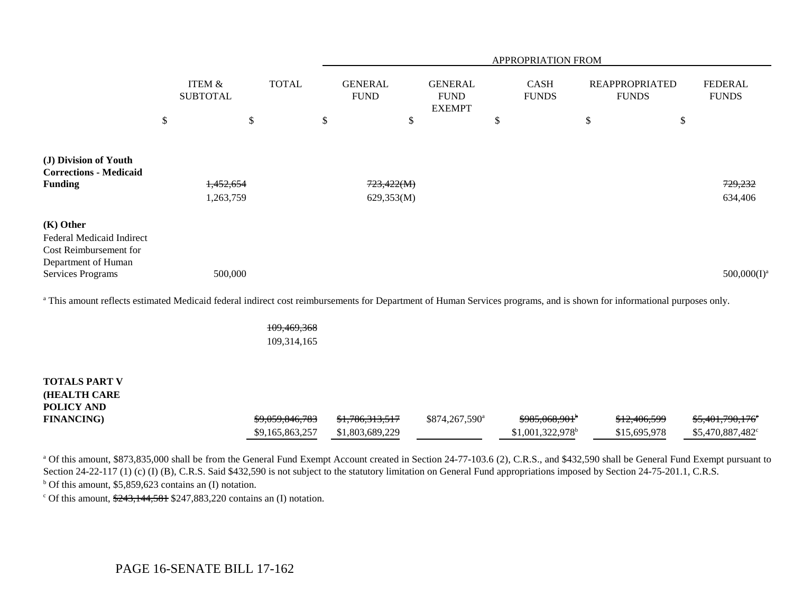|                                                                                                                       |                                      |              | <b>APPROPRIATION FROM</b>     |                                                |    |                             |    |                                       |                                |  |
|-----------------------------------------------------------------------------------------------------------------------|--------------------------------------|--------------|-------------------------------|------------------------------------------------|----|-----------------------------|----|---------------------------------------|--------------------------------|--|
|                                                                                                                       | <b>ITEM &amp;</b><br><b>SUBTOTAL</b> | <b>TOTAL</b> | <b>GENERAL</b><br><b>FUND</b> | <b>GENERAL</b><br><b>FUND</b><br><b>EXEMPT</b> |    | <b>CASH</b><br><b>FUNDS</b> |    | <b>REAPPROPRIATED</b><br><b>FUNDS</b> | <b>FEDERAL</b><br><b>FUNDS</b> |  |
|                                                                                                                       | \$<br>\$                             |              | \$                            | \$                                             | \$ |                             | \$ | \$                                    |                                |  |
| (J) Division of Youth<br><b>Corrections - Medicaid</b><br><b>Funding</b>                                              | 1,452,654<br>1,263,759               |              | 723,422(M)<br>629,353(M)      |                                                |    |                             |    |                                       | 729,232<br>634,406             |  |
| $(K)$ Other<br>Federal Medicaid Indirect<br>Cost Reimbursement for<br>Department of Human<br><b>Services Programs</b> | 500,000                              |              |                               |                                                |    |                             |    |                                       | $500,000(I)^3$                 |  |

<sup>a</sup> This amount reflects estimated Medicaid federal indirect cost reimbursements for Department of Human Services programs, and is shown for informational purposes only.

109,469,368 109,314,165

| <b>TOTALS PART V</b> |                            |                            |                            |                               |                         |                              |
|----------------------|----------------------------|----------------------------|----------------------------|-------------------------------|-------------------------|------------------------------|
| <b>HEALTH CARE</b>   |                            |                            |                            |                               |                         |                              |
| POLICY AND           |                            |                            |                            |                               |                         |                              |
| <b>FINANCING</b>     | <del>\$9,059,846,783</del> | <del>\$1,786,313,517</del> | \$874,267,590 <sup>a</sup> | <del>\$985,068,901</del>      | <del>\$12,406,599</del> | <del>\$5,401,790,176</del> ° |
|                      | \$9.165.863.257            | \$1,803,689,229            |                            | $$1,001,322,978$ <sup>b</sup> | \$15,695,978            | \$5,470,887,482 <sup>c</sup> |

<sup>a</sup> Of this amount, \$873,835,000 shall be from the General Fund Exempt Account created in Section 24-77-103.6 (2), C.R.S., and \$432,590 shall be General Fund Exempt pursuant to Section 24-22-117 (1) (c) (I) (B), C.R.S. Said \$432,590 is not subject to the statutory limitation on General Fund appropriations imposed by Section 24-75-201.1, C.R.S.

 $<sup>b</sup>$  Of this amount, \$5,859,623 contains an (I) notation.</sup>

 $\degree$  Of this amount,  $\frac{243,144,581}{2}$  \$247,883,220 contains an (I) notation.

## PAGE 16-SENATE BILL 17-162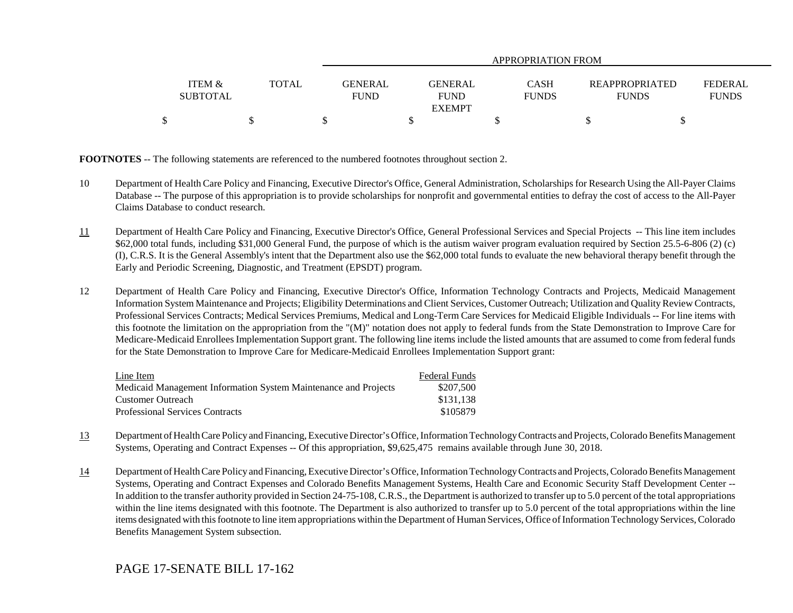|                   |       | APPROPRIATION FROM            |                        |                             |                                       |                                |  |
|-------------------|-------|-------------------------------|------------------------|-----------------------------|---------------------------------------|--------------------------------|--|
| <b>ITEM &amp;</b> |       |                               |                        |                             |                                       |                                |  |
| <b>SUBTOTAL</b>   | TOTAL | <b>GENERAL</b><br><b>FUND</b> | GENERAL<br><b>FUND</b> | <b>CASH</b><br><b>FUNDS</b> | <b>REAPPROPRIATED</b><br><b>FUNDS</b> | <b>FEDERAL</b><br><b>FUNDS</b> |  |
|                   |       |                               | <b>EXEMPT</b>          |                             |                                       |                                |  |
| \$                |       |                               |                        |                             |                                       |                                |  |

**FOOTNOTES** -- The following statements are referenced to the numbered footnotes throughout section 2.

- 10 Department of Health Care Policy and Financing, Executive Director's Office, General Administration, Scholarships for Research Using the All-Payer Claims Database -- The purpose of this appropriation is to provide scholarships for nonprofit and governmental entities to defray the cost of access to the All-Payer Claims Database to conduct research.
- 11 Department of Health Care Policy and Financing, Executive Director's Office, General Professional Services and Special Projects -- This line item includes \$62,000 total funds, including \$31,000 General Fund, the purpose of which is the autism waiver program evaluation required by Section 25.5-6-806 (2) (c) (I), C.R.S. It is the General Assembly's intent that the Department also use the \$62,000 total funds to evaluate the new behavioral therapy benefit through the Early and Periodic Screening, Diagnostic, and Treatment (EPSDT) program.
- 12 Department of Health Care Policy and Financing, Executive Director's Office, Information Technology Contracts and Projects, Medicaid Management Information System Maintenance and Projects; Eligibility Determinations and Client Services, Customer Outreach; Utilization and Quality Review Contracts, Professional Services Contracts; Medical Services Premiums, Medical and Long-Term Care Services for Medicaid Eligible Individuals -- For line items with this footnote the limitation on the appropriation from the "(M)" notation does not apply to federal funds from the State Demonstration to Improve Care for Medicare-Medicaid Enrollees Implementation Support grant. The following line items include the listed amounts that are assumed to come from federal funds for the State Demonstration to Improve Care for Medicare-Medicaid Enrollees Implementation Support grant:

| Line Item                                                       | <b>Federal Funds</b> |
|-----------------------------------------------------------------|----------------------|
| Medicaid Management Information System Maintenance and Projects | \$207.500            |
| Customer Outreach                                               | \$131.138            |
| <b>Professional Services Contracts</b>                          | \$105879             |

- 13 Department of Health Care Policy and Financing, Executive Director's Office, Information Technology Contracts and Projects, Colorado Benefits Management Systems, Operating and Contract Expenses -- Of this appropriation, \$9,625,475 remains available through June 30, 2018.
- 14 Department of Health Care Policy and Financing, Executive Director's Office, Information Technology Contracts and Projects, Colorado Benefits Management Systems, Operating and Contract Expenses and Colorado Benefits Management Systems, Health Care and Economic Security Staff Development Center -- In addition to the transfer authority provided in Section 24-75-108, C.R.S., the Department is authorized to transfer up to 5.0 percent of the total appropriations within the line items designated with this footnote. The Department is also authorized to transfer up to 5.0 percent of the total appropriations within the line items designated with this footnote to line item appropriations within the Department of Human Services, Office of Information Technology Services, Colorado Benefits Management System subsection.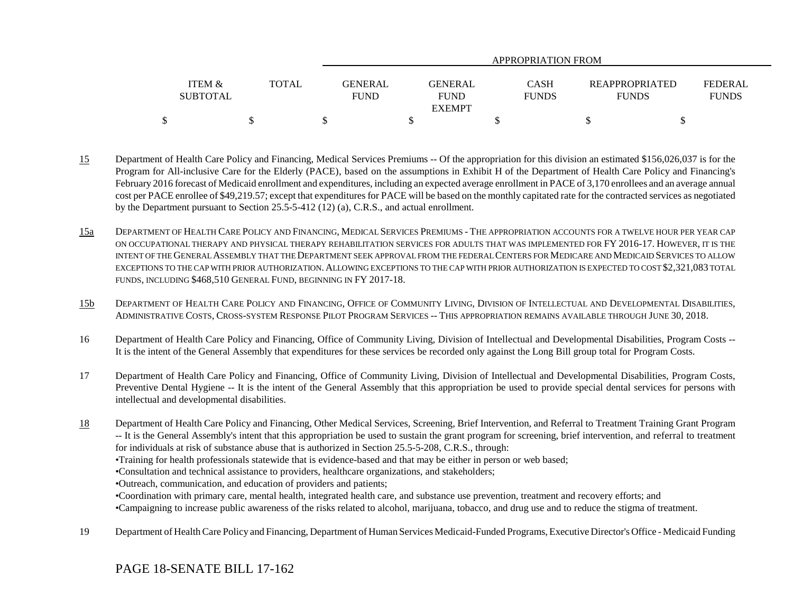|                   |              | APPROPRIATION FROM |                |              |                |                |  |
|-------------------|--------------|--------------------|----------------|--------------|----------------|----------------|--|
|                   |              |                    |                |              |                |                |  |
| <b>ITEM &amp;</b> | <b>TOTAL</b> | <b>GENERAL</b>     | <b>GENERAL</b> | <b>CASH</b>  | REAPPROPRIATED | <b>FEDERAL</b> |  |
| <b>SUBTOTAL</b>   |              | <b>FUND</b>        | <b>FUND</b>    | <b>FUNDS</b> | <b>FUNDS</b>   | <b>FUNDS</b>   |  |
|                   |              |                    | <b>EXEMPT</b>  |              |                |                |  |
| \$                |              |                    |                |              |                |                |  |

- 15 Department of Health Care Policy and Financing, Medical Services Premiums -- Of the appropriation for this division an estimated \$156,026,037 is for the Program for All-inclusive Care for the Elderly (PACE), based on the assumptions in Exhibit H of the Department of Health Care Policy and Financing's February 2016 forecast of Medicaid enrollment and expenditures, including an expected average enrollment in PACE of 3,170 enrollees and an average annual cost per PACE enrollee of \$49,219.57; except that expenditures for PACE will be based on the monthly capitated rate for the contracted services as negotiated by the Department pursuant to Section 25.5-5-412 (12) (a), C.R.S., and actual enrollment.
- 15a DEPARTMENT OF HEALTH CARE POLICY AND FINANCING, MEDICAL SERVICES PREMIUMS - THE APPROPRIATION ACCOUNTS FOR A TWELVE HOUR PER YEAR CAP ON OCCUPATIONAL THERAPY AND PHYSICAL THERAPY REHABILITATION SERVICES FOR ADULTS THAT WAS IMPLEMENTED FOR FY 2016-17. HOWEVER, IT IS THE INTENT OF THE GENERAL ASSEMBLY THAT THE DEPARTMENT SEEK APPROVAL FROM THE FEDERAL CENTERS FOR MEDICARE AND MEDICAID SERVICES TO ALLOWEXCEPTIONS TO THE CAP WITH PRIOR AUTHORIZATION. ALLOWING EXCEPTIONS TO THE CAP WITH PRIOR AUTHORIZATION IS EXPECTED TO COST \$2,321,083 TOTAL FUNDS, INCLUDING \$468,510 GENERAL FUND, BEGINNING IN FY 2017-18.
- 15b DEPARTMENT OF HEALTH CARE POLICY AND FINANCING, OFFICE OF COMMUNITY LIVING, DIVISION OF INTELLECTUAL AND DEVELOPMENTAL DISABILITIES, ADMINISTRATIVE COSTS, CROSS-SYSTEM RESPONSE PILOT PROGRAM SERVICES -- THIS APPROPRIATION REMAINS AVAILABLE THROUGH JUNE 30, 2018.
- 16 Department of Health Care Policy and Financing, Office of Community Living, Division of Intellectual and Developmental Disabilities, Program Costs -- It is the intent of the General Assembly that expenditures for these services be recorded only against the Long Bill group total for Program Costs.
- 17 Department of Health Care Policy and Financing, Office of Community Living, Division of Intellectual and Developmental Disabilities, Program Costs, Preventive Dental Hygiene -- It is the intent of the General Assembly that this appropriation be used to provide special dental services for persons with intellectual and developmental disabilities.
- 18 Department of Health Care Policy and Financing, Other Medical Services, Screening, Brief Intervention, and Referral to Treatment Training Grant Program -- It is the General Assembly's intent that this appropriation be used to sustain the grant program for screening, brief intervention, and referral to treatment for individuals at risk of substance abuse that is authorized in Section 25.5-5-208, C.R.S., through:
	- •Training for health professionals statewide that is evidence-based and that may be either in person or web based;
	- •Consultation and technical assistance to providers, healthcare organizations, and stakeholders;
	- •Outreach, communication, and education of providers and patients;
	- •Coordination with primary care, mental health, integrated health care, and substance use prevention, treatment and recovery efforts; and
	- •Campaigning to increase public awareness of the risks related to alcohol, marijuana, tobacco, and drug use and to reduce the stigma of treatment.
- 19 Department of Health Care Policy and Financing, Department of Human Services Medicaid-Funded Programs, Executive Director's Office Medicaid Funding

PAGE 18-SENATE BILL 17-162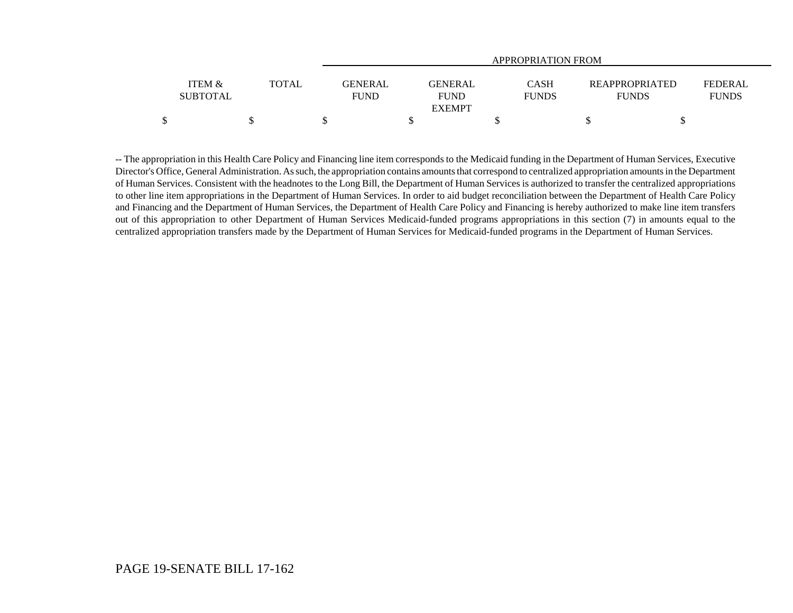|                           |              | APPROPRIATION FROM            |                                         |                                                                      |                                |  |  |
|---------------------------|--------------|-------------------------------|-----------------------------------------|----------------------------------------------------------------------|--------------------------------|--|--|
| ITEM &<br><b>SUBTOTAL</b> | <b>TOTAL</b> | <b>GENERAL</b><br><b>FUND</b> | GENERAL<br><b>FUND</b><br><b>EXEMPT</b> | <b>CASH</b><br><b>REAPPROPRIATED</b><br><b>FUNDS</b><br><b>FUNDS</b> | <b>FEDERAL</b><br><b>FUNDS</b> |  |  |
|                           |              |                               |                                         |                                                                      |                                |  |  |

-- The appropriation in this Health Care Policy and Financing line item corresponds to the Medicaid funding in the Department of Human Services, Executive Director's Office, General Administration. As such, the appropriation contains amounts that correspond to centralized appropriation amounts in the Department of Human Services. Consistent with the headnotes to the Long Bill, the Department of Human Services is authorized to transfer the centralized appropriations to other line item appropriations in the Department of Human Services. In order to aid budget reconciliation between the Department of Health Care Policy and Financing and the Department of Human Services, the Department of Health Care Policy and Financing is hereby authorized to make line item transfers out of this appropriation to other Department of Human Services Medicaid-funded programs appropriations in this section (7) in amounts equal to the centralized appropriation transfers made by the Department of Human Services for Medicaid-funded programs in the Department of Human Services.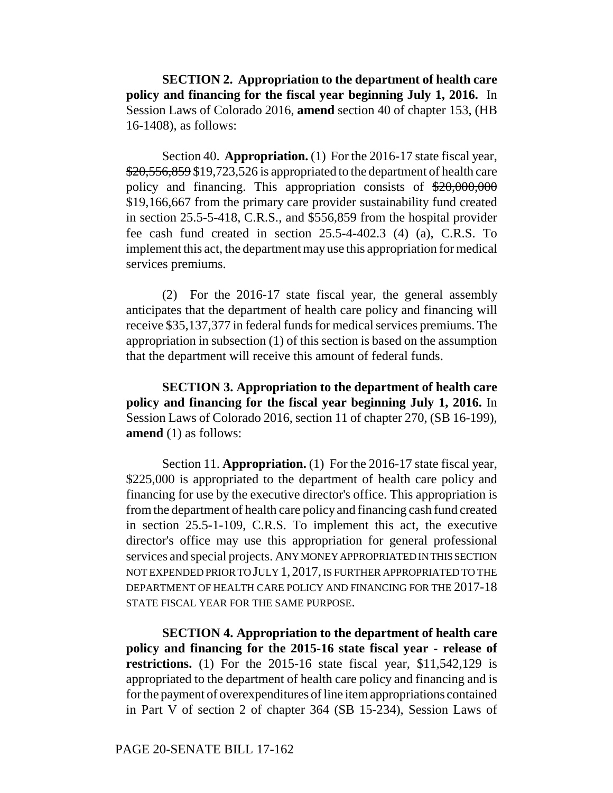**SECTION 2. Appropriation to the department of health care policy and financing for the fiscal year beginning July 1, 2016.** In Session Laws of Colorado 2016, **amend** section 40 of chapter 153, (HB 16-1408), as follows:

Section 40. **Appropriation.** (1) For the 2016-17 state fiscal year, \$20,556,859 \$19,723,526 is appropriated to the department of health care policy and financing. This appropriation consists of \$20,000,000 \$19,166,667 from the primary care provider sustainability fund created in section 25.5-5-418, C.R.S., and \$556,859 from the hospital provider fee cash fund created in section 25.5-4-402.3 (4) (a), C.R.S. To implement this act, the department may use this appropriation for medical services premiums.

(2) For the 2016-17 state fiscal year, the general assembly anticipates that the department of health care policy and financing will receive \$35,137,377 in federal funds for medical services premiums. The appropriation in subsection (1) of this section is based on the assumption that the department will receive this amount of federal funds.

**SECTION 3. Appropriation to the department of health care policy and financing for the fiscal year beginning July 1, 2016.** In Session Laws of Colorado 2016, section 11 of chapter 270, (SB 16-199), **amend** (1) as follows:

Section 11. **Appropriation.** (1) For the 2016-17 state fiscal year, \$225,000 is appropriated to the department of health care policy and financing for use by the executive director's office. This appropriation is from the department of health care policy and financing cash fund created in section 25.5-1-109, C.R.S. To implement this act, the executive director's office may use this appropriation for general professional services and special projects. ANY MONEY APPROPRIATED IN THIS SECTION NOT EXPENDED PRIOR TO JULY 1, 2017, IS FURTHER APPROPRIATED TO THE DEPARTMENT OF HEALTH CARE POLICY AND FINANCING FOR THE 2017-18 STATE FISCAL YEAR FOR THE SAME PURPOSE.

**SECTION 4. Appropriation to the department of health care policy and financing for the 2015-16 state fiscal year - release of restrictions.** (1) For the 2015-16 state fiscal year, \$11,542,129 is appropriated to the department of health care policy and financing and is for the payment of overexpenditures of line item appropriations contained in Part V of section 2 of chapter 364 (SB 15-234), Session Laws of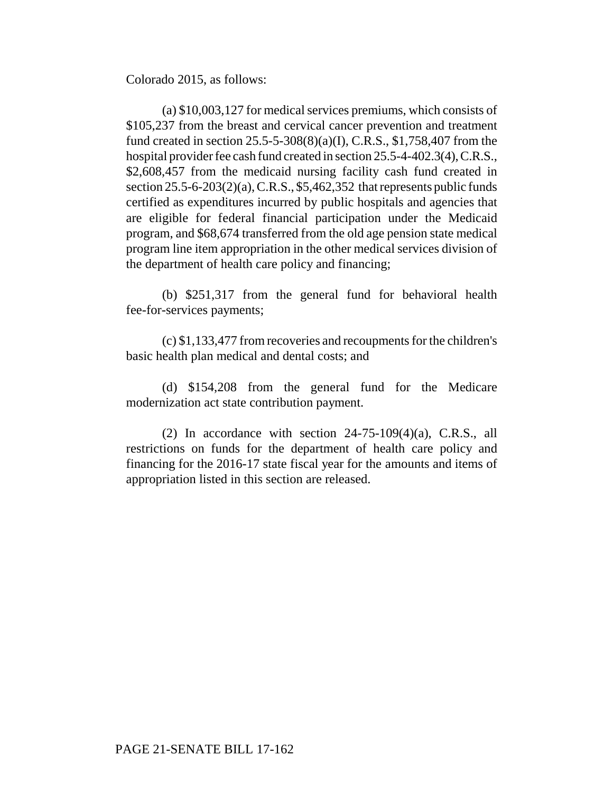Colorado 2015, as follows:

(a) \$10,003,127 for medical services premiums, which consists of \$105,237 from the breast and cervical cancer prevention and treatment fund created in section 25.5-5-308(8)(a)(I), C.R.S., \$1,758,407 from the hospital provider fee cash fund created in section 25.5-4-402.3(4), C.R.S., \$2,608,457 from the medicaid nursing facility cash fund created in section  $25.5-6-203(2)(a)$ , C.R.S., \$5,462,352 that represents public funds certified as expenditures incurred by public hospitals and agencies that are eligible for federal financial participation under the Medicaid program, and \$68,674 transferred from the old age pension state medical program line item appropriation in the other medical services division of the department of health care policy and financing;

(b) \$251,317 from the general fund for behavioral health fee-for-services payments;

(c) \$1,133,477 from recoveries and recoupments for the children's basic health plan medical and dental costs; and

(d) \$154,208 from the general fund for the Medicare modernization act state contribution payment.

(2) In accordance with section  $24-75-109(4)(a)$ , C.R.S., all restrictions on funds for the department of health care policy and financing for the 2016-17 state fiscal year for the amounts and items of appropriation listed in this section are released.